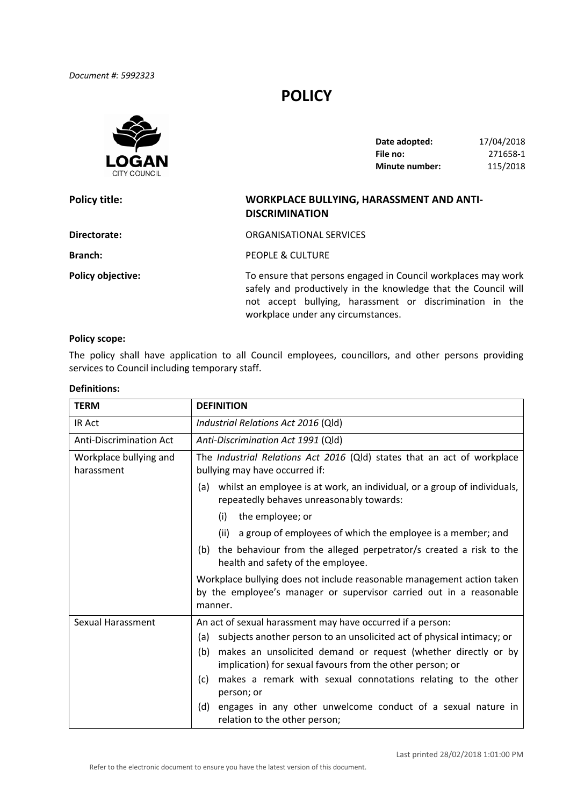*Document #: 5992323*

# **POLICY**



| Date adopted:         | 17/04/2018 |
|-----------------------|------------|
| File no:              | 271658-1   |
| <b>Minute number:</b> | 115/2018   |

| <b>Policy title:</b>     | <b>WORKPLACE BULLYING, HARASSMENT AND ANTI-</b><br><b>DISCRIMINATION</b>                                                                                                                                                          |
|--------------------------|-----------------------------------------------------------------------------------------------------------------------------------------------------------------------------------------------------------------------------------|
| Directorate:             | ORGANISATIONAL SERVICES                                                                                                                                                                                                           |
| Branch:                  | PEOPLE & CULTURE                                                                                                                                                                                                                  |
| <b>Policy objective:</b> | To ensure that persons engaged in Council workplaces may work<br>safely and productively in the knowledge that the Council will<br>not accept bullying, harassment or discrimination in the<br>workplace under any circumstances. |

#### **Policy scope:**

 The policy shall have application to all Council employees, councillors, and other persons providing services to Council including temporary staff.

# **Definitions:**

| <b>TERM</b>                          | <b>DEFINITION</b>                                                                                                                                        |  |
|--------------------------------------|----------------------------------------------------------------------------------------------------------------------------------------------------------|--|
| <b>IR Act</b>                        | Industrial Relations Act 2016 (Qld)                                                                                                                      |  |
| <b>Anti-Discrimination Act</b>       | Anti-Discrimination Act 1991 (Qld)                                                                                                                       |  |
| Workplace bullying and<br>harassment | The Industrial Relations Act 2016 (Qld) states that an act of workplace<br>bullying may have occurred if:                                                |  |
|                                      | whilst an employee is at work, an individual, or a group of individuals,<br>(a)<br>repeatedly behaves unreasonably towards:                              |  |
|                                      | the employee; or<br>(i)                                                                                                                                  |  |
|                                      | (ii) a group of employees of which the employee is a member; and                                                                                         |  |
|                                      | the behaviour from the alleged perpetrator/s created a risk to the<br>(b)<br>health and safety of the employee.                                          |  |
|                                      | Workplace bullying does not include reasonable management action taken<br>by the employee's manager or supervisor carried out in a reasonable<br>manner. |  |
| Sexual Harassment                    | An act of sexual harassment may have occurred if a person:                                                                                               |  |
|                                      | subjects another person to an unsolicited act of physical intimacy; or<br>(a)                                                                            |  |
|                                      | (b)<br>makes an unsolicited demand or request (whether directly or by<br>implication) for sexual favours from the other person; or                       |  |
|                                      | makes a remark with sexual connotations relating to the other<br>(c)<br>person; or                                                                       |  |
|                                      | engages in any other unwelcome conduct of a sexual nature in<br>(d)<br>relation to the other person;                                                     |  |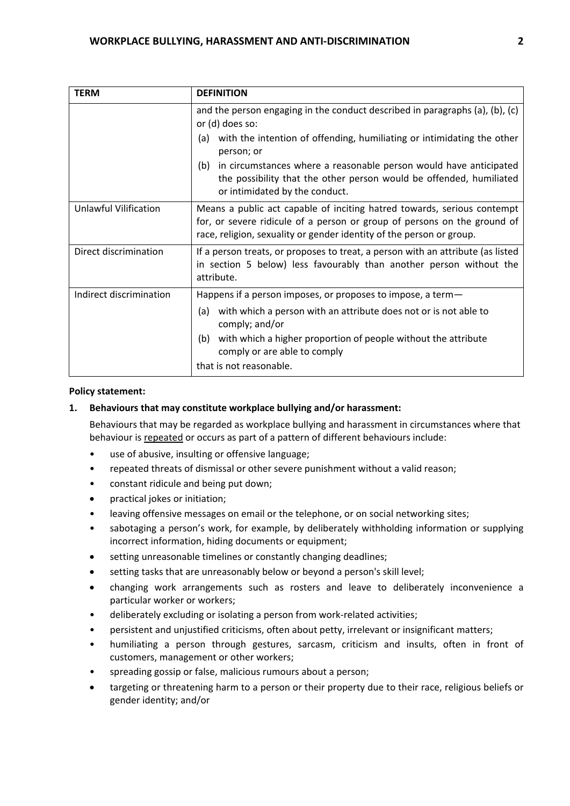| <b>TERM</b>             | <b>DEFINITION</b>                                                                                                                                                                                                           |  |  |
|-------------------------|-----------------------------------------------------------------------------------------------------------------------------------------------------------------------------------------------------------------------------|--|--|
|                         | and the person engaging in the conduct described in paragraphs (a), (b), (c)<br>or (d) does so:                                                                                                                             |  |  |
|                         | with the intention of offending, humiliating or intimidating the other<br>(a)<br>person; or                                                                                                                                 |  |  |
|                         | in circumstances where a reasonable person would have anticipated<br>(b)<br>the possibility that the other person would be offended, humiliated<br>or intimidated by the conduct.                                           |  |  |
| Unlawful Vilification   | Means a public act capable of inciting hatred towards, serious contempt<br>for, or severe ridicule of a person or group of persons on the ground of<br>race, religion, sexuality or gender identity of the person or group. |  |  |
| Direct discrimination   | If a person treats, or proposes to treat, a person with an attribute (as listed<br>in section 5 below) less favourably than another person without the<br>attribute.                                                        |  |  |
| Indirect discrimination | Happens if a person imposes, or proposes to impose, a term-                                                                                                                                                                 |  |  |
|                         | with which a person with an attribute does not or is not able to<br>(a)<br>comply; and/or                                                                                                                                   |  |  |
|                         | with which a higher proportion of people without the attribute<br>(b)<br>comply or are able to comply                                                                                                                       |  |  |
|                         | that is not reasonable.                                                                                                                                                                                                     |  |  |

#### **Policy statement:**

# **1. Behaviours that may constitute workplace bullying and/or harassment:**

Behaviours that may be regarded as workplace bullying and harassment in circumstances where that behaviour is repeated or occurs as part of a pattern of different behaviours include:

- use of abusive, insulting or offensive language;
- repeated threats of dismissal or other severe punishment without a valid reason;
- constant ridicule and being put down;
- practical jokes or initiation;
- leaving offensive messages on email or the telephone, or on social networking sites;
- sabotaging a person's work, for example, by deliberately withholding information or supplying incorrect information, hiding documents or equipment;
- setting unreasonable timelines or constantly changing deadlines;
- setting tasks that are unreasonably below or beyond a person's skill level;
- changing work arrangements such as rosters and leave to deliberately inconvenience a particular worker or workers;
- deliberately excluding or isolating a person from work‐related activities;
- persistent and unjustified criticisms, often about petty, irrelevant or insignificant matters;
- humiliating a person through gestures, sarcasm, criticism and insults, often in front of customers, management or other workers;
- spreading gossip or false, malicious rumours about a person;
- targeting or threatening harm to a person or their property due to their race, religious beliefs or gender identity; and/or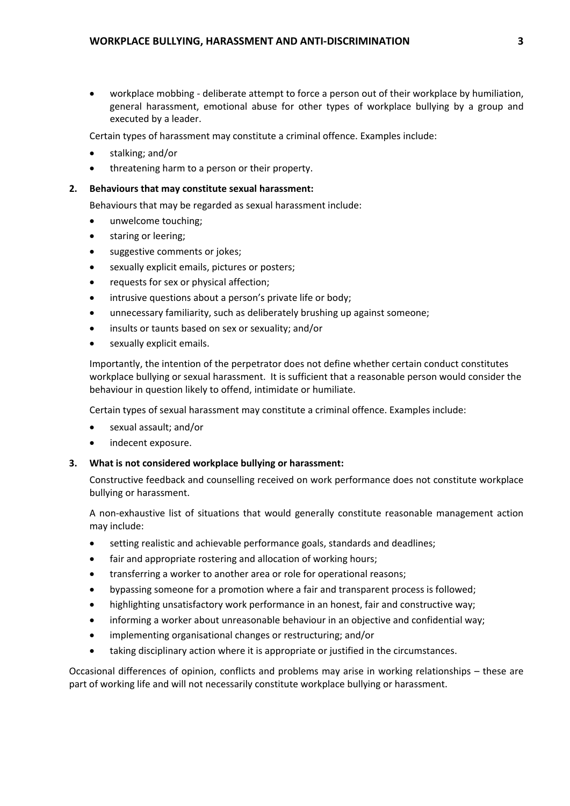workplace mobbing ‐ deliberate attempt to force a person out of their workplace by humiliation, general harassment, emotional abuse for other types of workplace bullying by a group and executed by a leader.

Certain types of harassment may constitute a criminal offence. Examples include:

- stalking; and/or
- threatening harm to a person or their property.

# **2. Behaviours that may constitute sexual harassment:**

Behaviours that may be regarded as sexual harassment include:

- unwelcome touching;
- **•** staring or leering;
- **•** suggestive comments or jokes;
- sexually explicit emails, pictures or posters;
- requests for sex or physical affection;
- intrusive questions about a person's private life or body;
- unnecessary familiarity, such as deliberately brushing up against someone;
- insults or taunts based on sex or sexuality; and/or
- sexually explicit emails.

 Importantly, the intention of the perpetrator does not define whether certain conduct constitutes workplace bullying or sexual harassment. It is sufficient that a reasonable person would consider the behaviour in question likely to offend, intimidate or humiliate.

Certain types of sexual harassment may constitute a criminal offence. Examples include:

- sexual assault; and/or
- indecent exposure.

# **3. What is not considered workplace bullying or harassment:**

 Constructive feedback and counselling received on work performance does not constitute workplace bullying or harassment.

 A non‐exhaustive list of situations that would generally constitute reasonable management action may include:

- setting realistic and achievable performance goals, standards and deadlines;
- fair and appropriate rostering and allocation of working hours;
- transferring a worker to another area or role for operational reasons;
- bypassing someone for a promotion where a fair and transparent process is followed;
- highlighting unsatisfactory work performance in an honest, fair and constructive way;
- informing a worker about unreasonable behaviour in an objective and confidential way;
- implementing organisational changes or restructuring; and/or
- taking disciplinary action where it is appropriate or justified in the circumstances.

 Occasional differences of opinion, conflicts and problems may arise in working relationships – these are part of working life and will not necessarily constitute workplace bullying or harassment.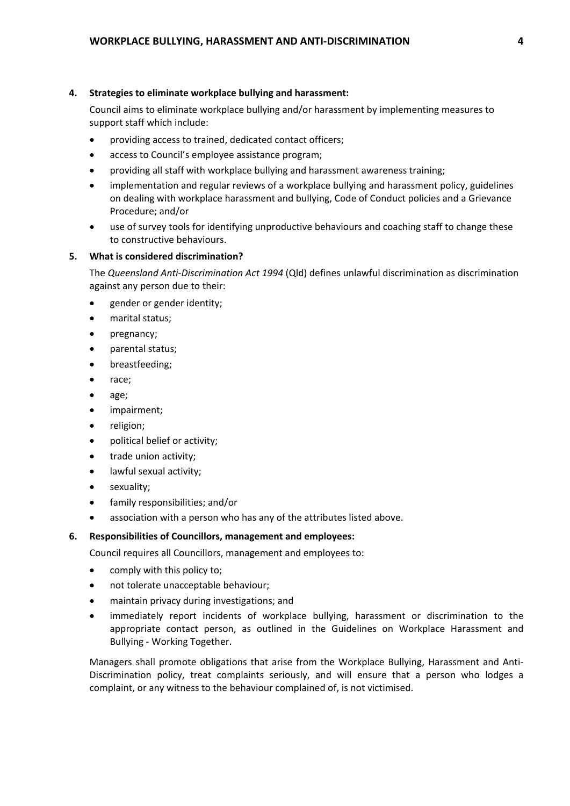### **4. Strategies to eliminate workplace bullying and harassment:**

 Council aims to eliminate workplace bullying and/or harassment by implementing measures to support staff which include:

- providing access to trained, dedicated contact officers;
- access to Council's employee assistance program;
- providing all staff with workplace bullying and harassment awareness training;
- implementation and regular reviews of a workplace bullying and harassment policy, guidelines on dealing with workplace harassment and bullying, Code of Conduct policies and a Grievance Procedure; and/or
- use of survey tools for identifying unproductive behaviours and coaching staff to change these to constructive behaviours.

# **5. What is considered discrimination?**

 The *Queensland Anti‐Discrimination Act 1994* (Qld) defines unlawful discrimination as discrimination against any person due to their:

- **•** gender or gender identity;
- marital status;
- pregnancy;
- parental status;
- breastfeeding:
- race;
- age;
- impairment;
- religion;
- political belief or activity;
- trade union activity;
- lawful sexual activity;
- sexuality;
- family responsibilities; and/or
- association with a person who has any of the attributes listed above.

# **6. Responsibilities of Councillors, management and employees:**

Council requires all Councillors, management and employees to:

- comply with this policy to;
- not tolerate unacceptable behaviour;
- maintain privacy during investigations; and
- immediately report incidents of workplace bullying, harassment or discrimination to the appropriate contact person, as outlined in the Guidelines on Workplace Harassment and Bullying ‐ Working Together.

 Managers shall promote obligations that arise from the Workplace Bullying, Harassment and Anti‐ Discrimination policy, treat complaints seriously, and will ensure that a person who lodges a complaint, or any witness to the behaviour complained of, is not victimised.